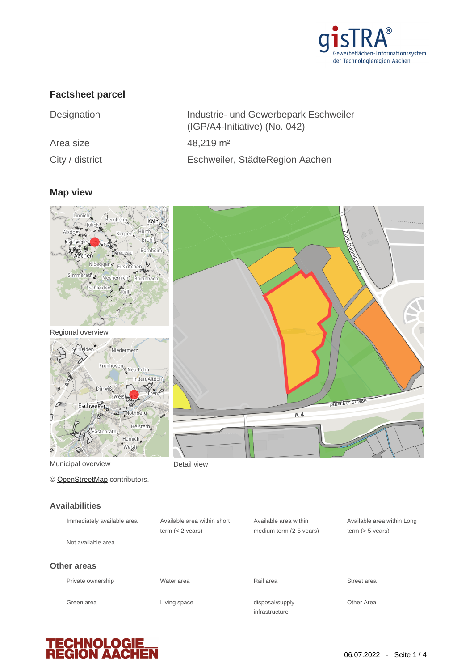

### **Factsheet parcel**

| Designation     | Industrie- und Gewerbepark Eschweiler<br>(IGP/A4-Initiative) (No. 042) |
|-----------------|------------------------------------------------------------------------|
| Area size       | $48,219 \text{ m}^2$                                                   |
| City / district | Eschweiler, StädteRegion Aachen                                        |

## **Map view**





Municipal overview **Detail view** 

© [OpenStreetMap](http://www.openstreetmap.org/copyright) contributors.

#### **Availabilities**

| Immediately available area | Available area within short<br>term $(< 2$ vears) | Available area within<br>medium term (2-5 years) | Available area within Lond<br>term $(> 5$ vears) |
|----------------------------|---------------------------------------------------|--------------------------------------------------|--------------------------------------------------|
| Not available area         |                                                   |                                                  |                                                  |
| Other areas                |                                                   |                                                  |                                                  |
| Private ownership          | Water area                                        | Rail area                                        | Street area                                      |
| Green area                 | Living space                                      | disposal/supply<br>infrastructure                | Other Area                                       |



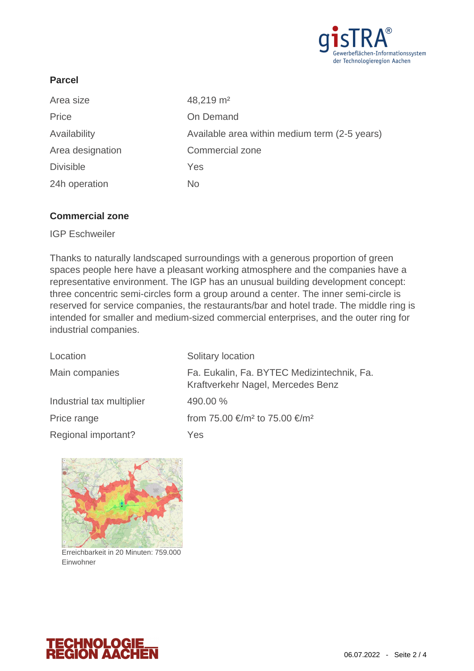

### **Parcel**

| Area size        | 48,219 m <sup>2</sup>                         |
|------------------|-----------------------------------------------|
| Price            | On Demand                                     |
| Availability     | Available area within medium term (2-5 years) |
| Area designation | <b>Commercial zone</b>                        |
| <b>Divisible</b> | Yes                                           |
| 24h operation    | No.                                           |

#### **Commercial zone**

IGP Eschweiler

Thanks to naturally landscaped surroundings with a generous proportion of green spaces people here have a pleasant working atmosphere and the companies have a representative environment. The IGP has an unusual building development concept: three concentric semi-circles form a group around a center. The inner semi-circle is reserved for service companies, the restaurants/bar and hotel trade. The middle ring is intended for smaller and medium-sized commercial enterprises, and the outer ring for industrial companies.

| Location                  | Solitary location                                                               |
|---------------------------|---------------------------------------------------------------------------------|
| Main companies            | Fa. Eukalin, Fa. BYTEC Medizintechnik, Fa.<br>Kraftverkehr Nagel, Mercedes Benz |
| Industrial tax multiplier | 490.00 %                                                                        |
| Price range               | from 75.00 €/m <sup>2</sup> to 75.00 €/m <sup>2</sup>                           |
| Regional important?       | Yes                                                                             |



Erreichbarkeit in 20 Minuten: 759.000 Einwohner

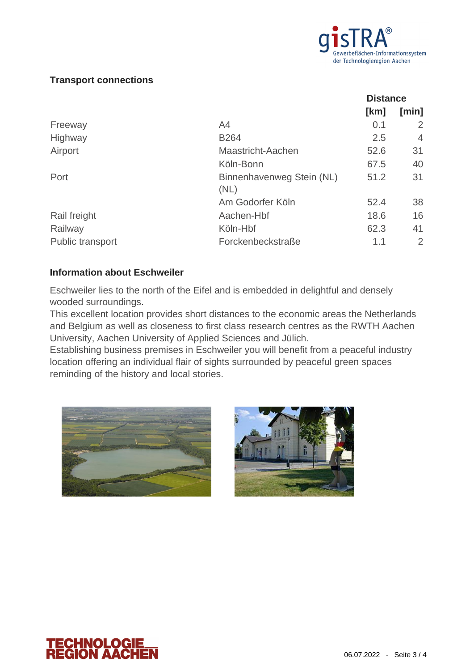

#### **Transport connections**

|                         |                                   | <b>Distance</b> |       |
|-------------------------|-----------------------------------|-----------------|-------|
|                         |                                   | [km]            | [min] |
| Freeway                 | A <sub>4</sub>                    | 0.1             | 2     |
| Highway                 | <b>B264</b>                       | 2.5             | 4     |
| Airport                 | Maastricht-Aachen                 | 52.6            | 31    |
|                         | Köln-Bonn                         | 67.5            | 40    |
| Port                    | Binnenhavenweg Stein (NL)<br>(NL) | 51.2            | 31    |
|                         | Am Godorfer Köln                  | 52.4            | 38    |
| Rail freight            | Aachen-Hbf                        | 18.6            | 16    |
| Railway                 | Köln-Hbf                          | 62.3            | 41    |
| <b>Public transport</b> | Forckenbeckstraße                 | 1.1             | 2     |

#### **Information about Eschweiler**

Eschweiler lies to the north of the Eifel and is embedded in delightful and densely wooded surroundings.

This excellent location provides short distances to the economic areas the Netherlands and Belgium as well as closeness to first class research centres as the RWTH Aachen University, Aachen University of Applied Sciences and Jülich.

Establishing business premises in Eschweiler you will benefit from a peaceful industry location offering an individual flair of sights surrounded by peaceful green spaces reminding of the history and local stories.